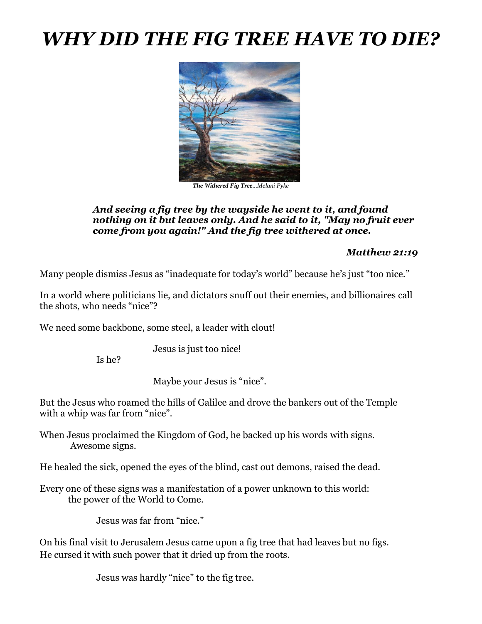# *WHY DID THE FIG TREE HAVE TO DIE?*



*The Withered Fig Tree...Melani Pyke*

#### *And seeing a fig tree by the wayside he went to it, and found nothing on it but leaves only. And he said to it, "May no fruit ever come from you again!" And the fig tree withered at once.*

#### *Matthew 21:19*

Many people dismiss Jesus as "inadequate for today's world" because he's just "too nice."

In a world where politicians lie, and dictators snuff out their enemies, and billionaires call the shots, who needs "nice"?

We need some backbone, some steel, a leader with clout!

Jesus is just too nice!

Is he?

Maybe your Jesus is "nice".

But the Jesus who roamed the hills of Galilee and drove the bankers out of the Temple with a whip was far from "nice".

When Jesus proclaimed the Kingdom of God, he backed up his words with signs. Awesome signs.

He healed the sick, opened the eyes of the blind, cast out demons, raised the dead.

Every one of these signs was a manifestation of a power unknown to this world: the power of the World to Come.

Jesus was far from "nice."

On his final visit to Jerusalem Jesus came upon a fig tree that had leaves but no figs. He cursed it with such power that it dried up from the roots.

Jesus was hardly "nice" to the fig tree.